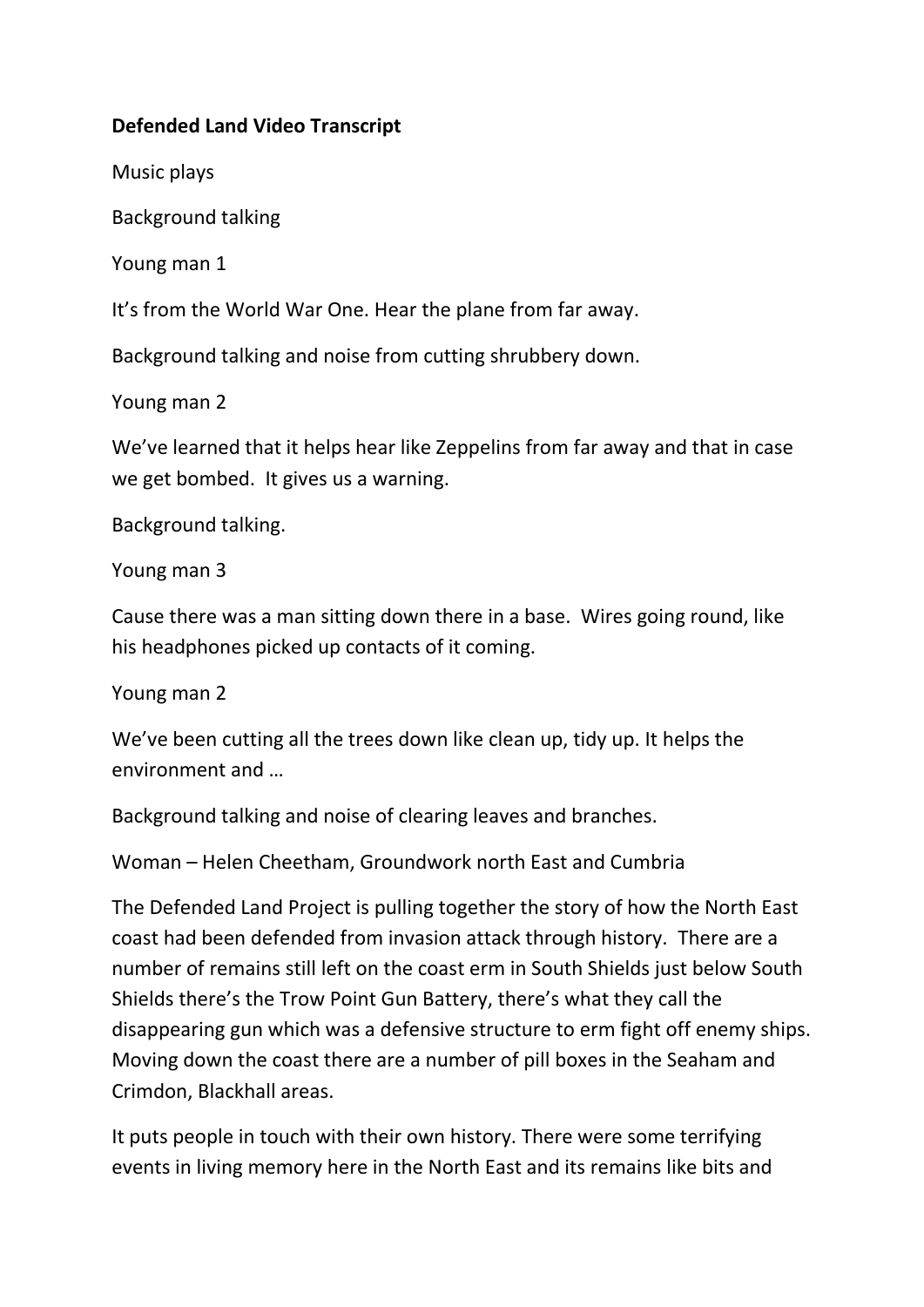## **Defended Land Video Transcript**

Music plays

Background talking

Young man 1

It's from the World War One. Hear the plane from far away.

Background talking and noise from cutting shrubbery down.

Young man 2

We've learned that it helps hear like Zeppelins from far away and that in case we get bombed. It gives us a warning.

Background talking.

Young man 3

Cause there was a man sitting down there in a base. Wires going round, like his headphones picked up contacts of it coming.

Young man 2

We've been cutting all the trees down like clean up, tidy up. It helps the environment and …

Background talking and noise of clearing leaves and branches.

Woman – Helen Cheetham, Groundwork north East and Cumbria

The Defended Land Project is pulling together the story of how the North East coast had been defended from invasion attack through history. There are a number of remains still left on the coast erm in South Shields just below South Shields there's the Trow Point Gun Battery, there's what they call the disappearing gun which was a defensive structure to erm fight off enemy ships. Moving down the coast there are a number of pill boxes in the Seaham and Crimdon, Blackhall areas.

It puts people in touch with their own history. There were some terrifying events in living memory here in the North East and its remains like bits and